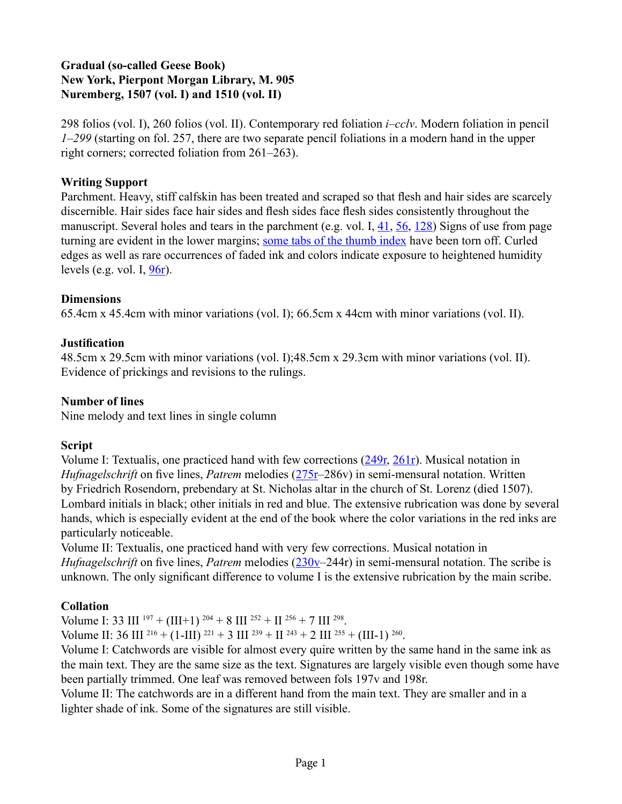## **Gradual (so-called Geese Book) New York, Pierpont Morgan Library, M. 905 Nuremberg, 1507 (vol. I) and 1510 (vol. II)**

298 folios (vol. I), 260 folios (vol. II). Contemporary red foliation *i*–*cclv*. Modern foliation in pencil *1*–*299* (starting on fol. 257, there are two separate pencil foliations in a modern hand in the upper right corners; corrected foliation from 261–263).

#### **Writing Support**

Parchment. Heavy, stiff calfskin has been treated and scraped so that flesh and hair sides are scarcely discernible. Hair sides face hair sides and flesh sides face flesh sides consistently throughout the manuscript. Several holes and tears in the parchment (e.g. vol. I,  $\frac{41}{1}$ ,  $\frac{56}{128}$ ) Signs of use from page turning are evident in the lower margins; [some tabs of the thumb index](http://geesebook.ab-c.nl/browse.aspx?p=351&v=1&l=english) have been torn off. Curled edges as well as rare occurrences of faded ink and colors indicate exposure to heightened humidity levels (e.g. vol. I,  $\frac{96r}{r}$ ).

#### **Dimensions**

65.4cm x 45.4cm with minor variations (vol. I); 66.5cm x 44cm with minor variations (vol. II).

## **Justification**

48.5cm x 29.5cm with minor variations (vol. I);48.5cm x 29.3cm with minor variations (vol. II). Evidence of prickings and revisions to the rulings.

#### **Number of lines**

Nine melody and text lines in single column

## **Script**

Volume I: Textualis, one practiced hand with few corrections [\(249r,](http://geesebook.ab-c.nl/browse.aspx?p=497&v=1&l=english) [261r\)](http://geesebook.ab-c.nl/browse.aspx?p=521&v=1&l=english). Musical notation in *Hufnagelschrift* on five lines, *Patrem* melodies [\(275r](http://geesebook.ab-c.nl/browse.aspx?v=1&p=513&l=english)–286v) in semi-mensural notation. Written by Friedrich Rosendorn, prebendary at St. Nicholas altar in the church of St. Lorenz (died 1507). Lombard initials in black; other initials in red and blue. The extensive rubrication was done by several hands, which is especially evident at the end of the book where the color variations in the red inks are particularly noticeable.

Volume II: Textualis, one practiced hand with very few corrections. Musical notation in *Hufnagelschrift* on five lines, *Patrem* melodies [\(230v](http://geesebook.ab-c.nl/browse.aspx?v=2&p=460&l=english)–244r) in semi-mensural notation. The scribe is unknown. The only significant difference to volume I is the extensive rubrication by the main scribe.

## **Collation**

Volume I: 33 III  $^{197}$  + (III+1)  $^{204}$  + 8 III  $^{252}$  + II  $^{256}$  + 7 III  $^{298}$ .

Volume II: 36 III  $^{216} + (1-III)^{221} + 3 III^{239} + II^{243} + 2 III^{255} + (III-1)^{260}$ .

Volume I: Catchwords are visible for almost every quire written by the same hand in the same ink as the main text. They are the same size as the text. Signatures are largely visible even though some have been partially trimmed. One leaf was removed between fols 197v and 198r.

Volume II: The catchwords are in a different hand from the main text. They are smaller and in a lighter shade of ink. Some of the signatures are still visible.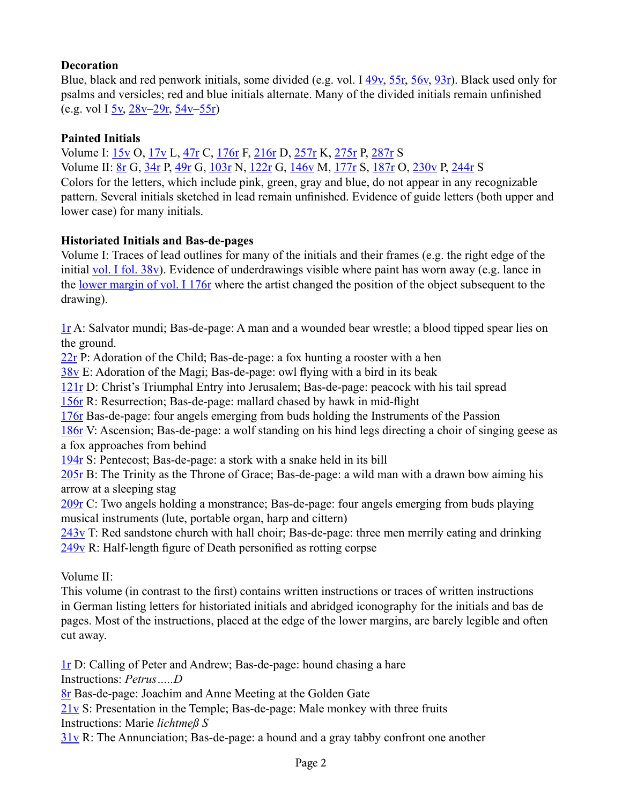## **Decoration**

Blue, black and red penwork initials, some divided (e.g. vol. I [49v](http://geesebook.ab-c.nl/browse.aspx?v=1&p=98&l=english), [55r,](http://geesebook.ab-c.nl/browse.aspx?v=1&p=109&l=english) [56v,](http://geesebook.ab-c.nl/browse.aspx?v=1&p=112&l=english) [93r\)](http://geesebook.ab-c.nl/browse.aspx?v=1&p=185&l=english). Black used only for psalms and versicles; red and blue initials alternate. Many of the divided initials remain unfinished (e.g. vol I  $5v$ ,  $28v-29r$  $28v-29r$ ,  $54v-55r$ )

#### **Painted Initials**

Volume I: [15v](http://geesebook.ab-c.nl/browse.aspx?v=1&p=30&l=english) O, [17v](http://geesebook.ab-c.nl/browse.aspx?v=1&p=34&l=english) L, [47r](http://geesebook.ab-c.nl/browse.aspx?v=1&p=93&l=english) C, [176r](http://geesebook.ab-c.nl/browse.aspx?v=1&p=351&l=english) F, [216r](http://geesebook.ab-c.nl/browse.aspx?v=1&p=431&l=english) D, [257r](http://geesebook.ab-c.nl/browse.aspx?v=1&p=513&l=english) K, [275r](http://geesebook.ab-c.nl/browse.aspx?v=1&p=549&l=english) P, [287r](http://geesebook.ab-c.nl/browse.aspx?v=1&p=573&l=english) S Volume II: [8r](http://geesebook.ab-c.nl/browse.aspx?v=2&p=15&l=english) G, [34r](http://geesebook.ab-c.nl/browse.aspx?v=2&p=67&l=english) P, [49r](http://geesebook.ab-c.nl/browse.aspx?v=2&p=97&l=english) G, [103r](http://geesebook.ab-c.nl/browse.aspx?v=2&p=205&l=english) N, [122r](http://geesebook.ab-c.nl/browse.aspx?v=2&p=243&l=english) G, [146v](http://geesebook.ab-c.nl/browse.aspx?v=2&p=292&l=english) M, [177r](http://geesebook.ab-c.nl/browse.aspx?v=2&p=353&l=english) S, [187r](http://geesebook.ab-c.nl/browse.aspx?v=2&p=373&l=english) O, [230v](http://geesebook.ab-c.nl/browse.aspx?v=2&p=460&l=english) P, [244r](http://geesebook.ab-c.nl/browse.aspx?v=2&p=487&l=english) S Colors for the letters, which include pink, green, gray and blue, do not appear in any recognizable pattern. Several initials sketched in lead remain unfinished. Evidence of guide letters (both upper and lower case) for many initials.

#### **Historiated Initials and Bas-de-pages**

Volume I: Traces of lead outlines for many of the initials and their frames (e.g. the right edge of the initial [vol. I fol. 38v\)](http://geesebook.ab-c.nl/browse.aspx?v=1&p=76&l=english). Evidence of underdrawings visible where paint has worn away (e.g. lance in the [lower margin of vol. I 176r](http://geesebook.ab-c.nl/browse.aspx?v=1&p=351&l=english) where the artist changed the position of the object subsequent to the drawing).

[1r](http://geesebook.ab-c.nl/browse.aspx?v=1&p=1&l=english) A: Salvator mundi; Bas-de-page: A man and a wounded bear wrestle; a blood tipped spear lies on the ground.

[22r](http://geesebook.ab-c.nl/browse.aspx?p=43&v=1&l=english) P: Adoration of the Child; Bas-de-page: a fox hunting a rooster with a hen

[38v](http://geesebook.ab-c.nl/browse.aspx?p=76&v=1&l=english) E: Adoration of the Magi; Bas-de-page: owl flying with a bird in its beak

[121r](http://geesebook.ab-c.nl/browse.aspx?p=241&v=1&l=english) D: Christ's Triumphal Entry into Jerusalem; Bas-de-page: peacock with his tail spread

[156r](http://geesebook.ab-c.nl/browse.aspx?p=311&v=1&l=english) R: Resurrection; Bas-de-page: mallard chased by hawk in mid-flight

[176r](http://geesebook.ab-c.nl/browse.aspx?p=311&v=1&l=english) Bas-de-page: four angels emerging from buds holding the Instruments of the Passion

186r V: Ascension; Bas-de-page: a wolf standing on his hind legs directing a choir of singing geese as a fox approaches from behind

[194r](http://geesebook.ab-c.nl/browse.aspx?p=387&v=1&l=english) S: Pentecost; Bas-de-page: a stork with a snake held in its bill

[205r](http://geesebook.ab-c.nl/browse.aspx?p=409&v=1&l=english) B: The Trinity as the Throne of Grace; Bas-de-page: a wild man with a drawn bow aiming his arrow at a sleeping stag

[209r](http://geesebook.ab-c.nl/browse.aspx?p=417&v=1&l=english) C: Two angels holding a monstrance; Bas-de-page: four angels emerging from buds playing musical instruments (lute, portable organ, harp and cittern)

[243v](http://geesebook.ab-c.nl/browse.aspx?p=486&v=1&l=english) T: Red sandstone church with hall choir; Bas-de-page: three men merrily eating and drinking [249v](http://geesebook.ab-c.nl/browse.aspx?p=498&v=1&l=english) R: Half-length figure of Death personified as rotting corpse

Volume II:

This volume (in contrast to the first) contains written instructions or traces of written instructions in German listing letters for historiated initials and abridged iconography for the initials and bas de pages. Most of the instructions, placed at the edge of the lower margins, are barely legible and often cut away.

[1r](http://geesebook.ab-c.nl/browse.aspx?p=1&v=2&l=english) D: Calling of Peter and Andrew; Bas-de-page: hound chasing a hare

Instructions: *Petrus…..D*

[8r](http://geesebook.ab-c.nl/browse.aspx?p=15&v=2&l=english) Bas-de-page: Joachim and Anne Meeting at the Golden Gate

[21v](http://geesebook.ab-c.nl/browse.aspx?p=42&v=2&l=english) S: Presentation in the Temple; Bas-de-page: Male monkey with three fruits

Instructions: Marie *lichtmeß S*

[31v](http://geesebook.ab-c.nl/browse.aspx?p=62&v=2&l=english) R: The Annunciation; Bas-de-page: a hound and a gray tabby confront one another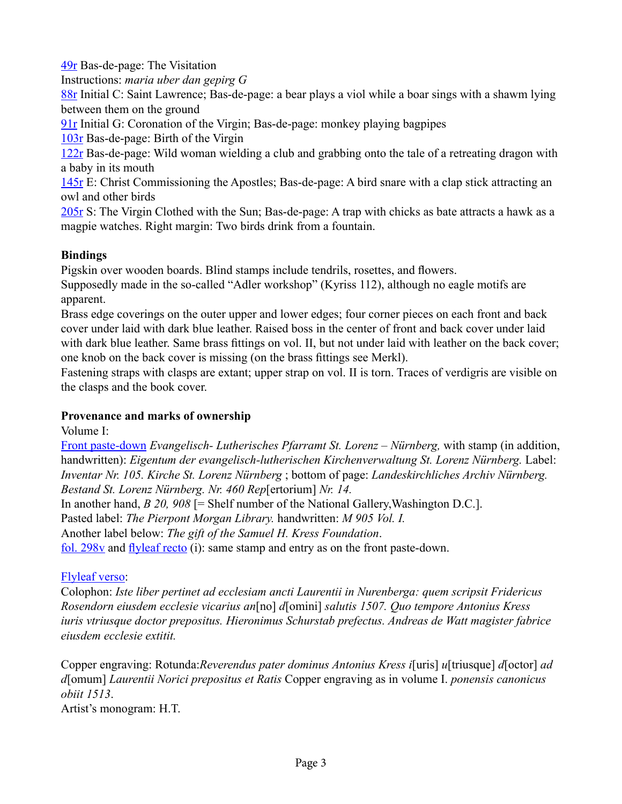[49r](http://geesebook.ab-c.nl/browse.aspx?p=97&v=2&l=english) Bas-de-page: The Visitation

Instructions: *maria uber dan gepirg G*

[88r](http://geesebook.ab-c.nl/browse.aspx?p=97&v=2&l=english) Initial C: Saint Lawrence; Bas-de-page: a bear plays a viol while a boar sings with a shawm lying between them on the ground

[91r](http://geesebook.ab-c.nl/browse.aspx?p=181&v=2&l=english) Initial G: Coronation of the Virgin; Bas-de-page: monkey playing bagpipes

[103r](http://geesebook.ab-c.nl/browse.aspx?p=205&v=2&l=english) Bas-de-page: Birth of the Virgin

[122r](http://geesebook.ab-c.nl/browse.aspx?p=243&v=2&l=english) Bas-de-page: Wild woman wielding a club and grabbing onto the tale of a retreating dragon with a baby in its mouth

[145r](http://geesebook.ab-c.nl/browse.aspx?p=243&v=2&l=english) E: Christ Commissioning the Apostles; Bas-de-page: A bird snare with a clap stick attracting an owl and other birds

[205r](http://geesebook.ab-c.nl/browse.aspx?p=409&v=2&l=english) S: The Virgin Clothed with the Sun; Bas-de-page: A trap with chicks as bate attracts a hawk as a magpie watches. Right margin: Two birds drink from a fountain.

## **Bindings**

Pigskin over wooden boards. Blind stamps include tendrils, rosettes, and flowers.

Supposedly made in the so-called "Adler workshop" (Kyriss 112), although no eagle motifs are apparent.

Brass edge coverings on the outer upper and lower edges; four corner pieces on each front and back cover under laid with dark blue leather. Raised boss in the center of front and back cover under laid with dark blue leather. Same brass fittings on vol. II, but not under laid with leather on the back cover; one knob on the back cover is missing (on the brass fittings see Merkl).

Fastening straps with clasps are extant; upper strap on vol. II is torn. Traces of verdigris are visible on the clasps and the book cover.

# **Provenance and marks of ownership**

Volume I:

[Front paste-down](http://geesebook.ab-c.nl/browse.aspx?v=1&p=-2&l=english) *Evangelisch- Lutherisches Pfarramt St. Lorenz – Nürnberg,* with stamp (in addition, handwritten): *Eigentum der evangelisch-lutherischen Kirchenverwaltung St. Lorenz Nürnberg.* Label: *Inventar Nr. 105. Kirche St. Lorenz Nürnberg* ; bottom of page: *Landeskirchliches Archiv Nürnberg. Bestand St. Lorenz Nürnberg. Nr. 460 Rep*[ertorium] *Nr. 14.*

In another hand, *B 20, 908* [= Shelf number of the National Gallery,Washington D.C.].

Pasted label: *The Pierpont Morgan Library.* handwritten: *M 905 Vol. I.*

Another label below: *The gift of the Samuel H. Kress Foundation*.

[fol. 298v](http://geesebook.ab-c.nl/browse.aspx?p=596&v=1&l=english) and [flyleaf recto](http://geesebook.ab-c.nl/browse.aspx?v=1&p=-1&l=english) (i): same stamp and entry as on the front paste-down.

## [Flyleaf verso:](http://geesebook.ab-c.nl/browse.aspx?v=1&p=0&l=english)

Colophon: *Iste liber pertinet ad ecclesiam ancti Laurentii in Nurenberga: quem scripsit Fridericus Rosendorn eiusdem ecclesie vicarius an*[no] *d*[omini] *salutis 1507. Quo tempore Antonius Kress iuris vtriusque doctor prepositus. Hieronimus Schurstab prefectus. Andreas de Watt magister fabrice eiusdem ecclesie extitit.*

Copper engraving: Rotunda:*Reverendus pater dominus Antonius Kress i*[uris] *u*[triusque] *d*[octor] *ad d*[omum] *Laurentii Norici prepositus et Ratis* Copper engraving as in volume I. *ponensis canonicus obiit 1513*.

Artist's monogram: H.T.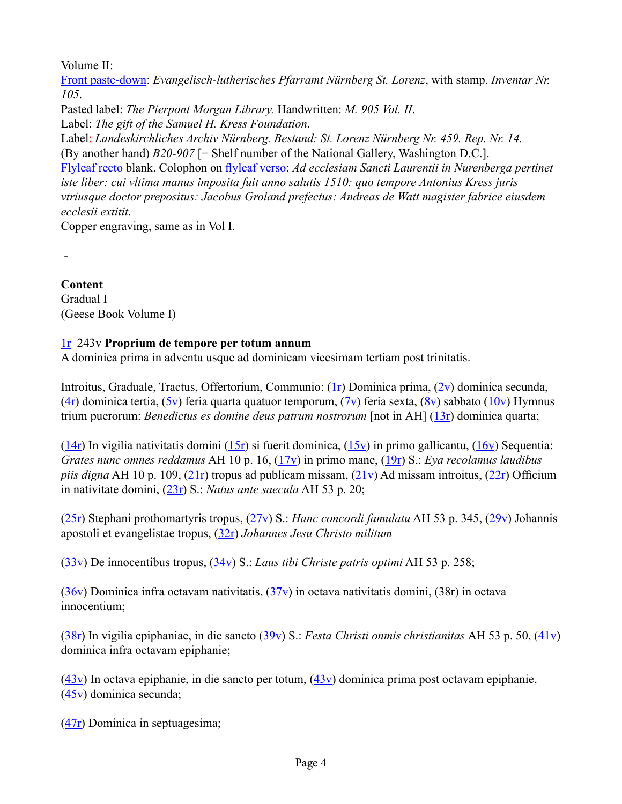Volume II:

-

[Front paste-down](http://geesebook.ab-c.nl/browse.aspx?v=2&p=-2&l=english): *Evangelisch-lutherisches Pfarramt Nürnberg St. Lorenz*, with stamp. *Inventar Nr. 105*.

Pasted label: *The Pierpont Morgan Library.* Handwritten: *M. 905 Vol. II*. Label: *The gift of the Samuel H. Kress Foundation*.

Label: *Landeskirchliches Archiv Nürnberg. Bestand: St. Lorenz Nürnberg Nr. 459. Rep. Nr. 14.* (By another hand) *B20-907* [= Shelf number of the National Gallery, Washington D.C.]. [Flyleaf recto](http://geesebook.ab-c.nl/browse.aspx?v=2&p=-1&l=english) blank. Colophon on [flyleaf verso](http://geesebook.ab-c.nl/browse.aspx?v=2&p=0&l=english): *Ad ecclesiam Sancti Laurentii in Nurenberga pertinet iste liber: cui vltima manus imposita fuit anno salutis 1510: quo tempore Antonius Kress juris vtriusque doctor prepositus: Jacobus Groland prefectus: Andreas de Watt magister fabrice eiusdem ecclesii extitit*.

Copper engraving, same as in Vol I.

**Content** Gradual I (Geese Book Volume I)

## [1r–](http://geesebook.ab-c.nl/browse.aspx?v=1&p=1&l=english)243v **Proprium de tempore per totum annum**

A dominica prima in adventu usque ad dominicam vicesimam tertiam post trinitatis.

Introitus, Graduale, Tractus, Offertorium, Communio: [\(1r](http://geesebook.ab-c.nl/browse.aspx?v=1&p=1&l=english)) Dominica prima, [\(2v](http://geesebook.ab-c.nl/browse.aspx?v=1&p=4&l=english)) dominica secunda, ([4r\)](http://geesebook.ab-c.nl/browse.aspx?v=1&p=7&l=english) dominica tertia,  $(5v)$  $(5v)$  feria quarta quatuor temporum,  $(7v)$  $(7v)$  feria sexta,  $(8v)$  $(8v)$  sabbato  $(10v)$  $(10v)$  Hymnus trium puerorum: *Benedictus es domine deus patrum nostrorum* [not in AH] [\(13r](http://geesebook.ab-c.nl/browse.aspx?v=1&p=25&l=english)) dominica quarta;

 $(14r)$  $(14r)$  In vigilia nativitatis domini  $(15r)$  $(15r)$  si fuerit dominica,  $(15v)$  $(15v)$  in primo gallicantu,  $(16v)$  $(16v)$  Sequentia: *Grates nunc omnes reddamus* AH 10 p. 16, [\(17v](http://geesebook.ab-c.nl/browse.aspx?v=1&p=34&l=english)) in primo mane, [\(19r](http://geesebook.ab-c.nl/browse.aspx?v=1&p=37&l=english)) S.: *Eya recolamus laudibus piis digna* AH 10 p. 109, [\(21r](http://geesebook.ab-c.nl/browse.aspx?v=1&p=41&l=english)) tropus ad publicam missam, ([21v\)](http://geesebook.ab-c.nl/browse.aspx?v=1&p=42&l=english) Ad missam introitus, ([22r](http://geesebook.ab-c.nl/browse.aspx?v=1&p=43&l=english)) Officium in nativitate domini, ([23r\)](http://geesebook.ab-c.nl/browse.aspx?v=1&p=45&l=english) S.: *Natus ante saecula* AH 53 p. 20;

([25r\)](http://geesebook.ab-c.nl/browse.aspx?v=1&p=49&l=english) Stephani prothomartyris tropus, [\(27v](http://geesebook.ab-c.nl/browse.aspx?v=1&p=54&l=english)) S.: *Hanc concordi famulatu* AH 53 p. 345, ([29v\)](http://geesebook.ab-c.nl/browse.aspx?v=1&p=58&l=english) Johannis apostoli et evangelistae tropus, ([32r\)](http://geesebook.ab-c.nl/browse.aspx?v=1&p=63&l=english) *Johannes Jesu Christo militum* 

([33v\)](http://geesebook.ab-c.nl/browse.aspx?v=1&p=66&l=english) De innocentibus tropus, [\(34v](http://geesebook.ab-c.nl/browse.aspx?v=1&p=68&l=english)) S.: *Laus tibi Christe patris optimi* AH 53 p. 258;

 $(36v)$  $(36v)$  Dominica infra octavam nativitatis,  $(37v)$  $(37v)$  in octava nativitatis domini,  $(38r)$  in octava innocentium;

([38r\)](http://geesebook.ab-c.nl/browse.aspx?v=1&p=75&l=english) In vigilia epiphaniae, in die sancto [\(39v](http://geesebook.ab-c.nl/browse.aspx?v=1&p=78&l=english)) S.: *Festa Christi onmis christianitas* AH 53 p. 50, ([41v\)](http://geesebook.ab-c.nl/browse.aspx?v=1&p=82&l=english) dominica infra octavam epiphanie;

 $(43v)$  $(43v)$  In octava epiphanie, in die sancto per totum,  $(43v)$  dominica prima post octavam epiphanie, ([45v\)](http://geesebook.ab-c.nl/browse.aspx?v=1&p=90&l=english) dominica secunda;

([47r\)](http://geesebook.ab-c.nl/browse.aspx?v=1&p=93&l=english) Dominica in septuagesima;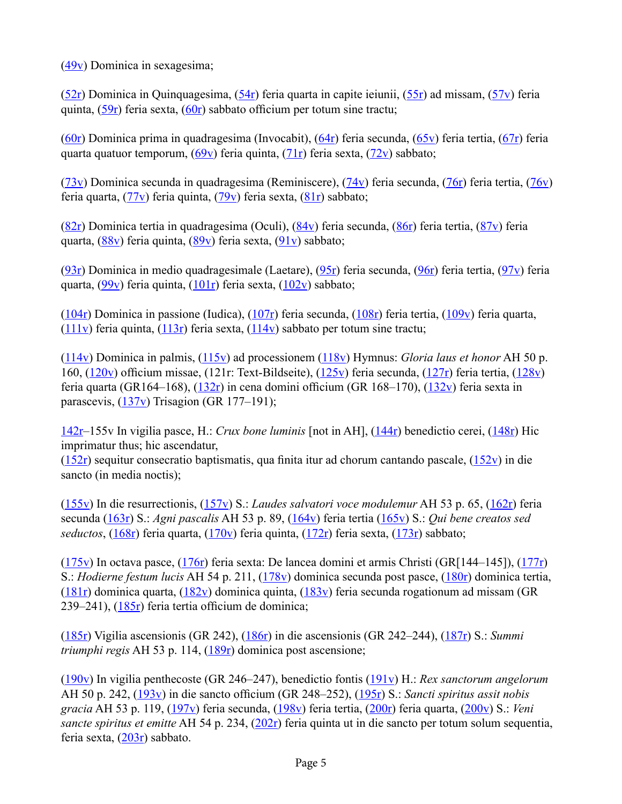([49v\)](http://geesebook.ab-c.nl/browse.aspx?v=1&p=98&l=english) Dominica in sexagesima;

([52r\)](http://geesebook.ab-c.nl/browse.aspx?v=1&p=103&l=english) Dominica in Quinquagesima, ([54r\)](http://geesebook.ab-c.nl/browse.aspx?v=1&p=107&l=english) feria quarta in capite ieiunii, ([55r\)](http://geesebook.ab-c.nl/browse.aspx?v=1&p=109&l=english) ad missam, ([57v\)](http://geesebook.ab-c.nl/browse.aspx?v=1&p=114&l=english) feria quinta, [\(59r](http://geesebook.ab-c.nl/browse.aspx?v=1&p=117&l=english)) feria sexta, ([60r](http://geesebook.ab-c.nl/browse.aspx?v=1&p=119&l=english)) sabbato officium per totum sine tractu;

 $(60r)$  $(60r)$  Dominica prima in quadragesima (Invocabit),  $(64r)$  $(64r)$  feria secunda,  $(65v)$  $(65v)$  feria tertia,  $(67r)$  $(67r)$  feria quarta quatuor temporum,  $(69v)$  $(69v)$  feria quinta,  $(71r)$  $(71r)$  feria sexta,  $(72v)$  $(72v)$  sabbato;

 $(73v)$  $(73v)$  Dominica secunda in quadragesima (Reminiscere),  $(74v)$  $(74v)$  feria secunda,  $(76r)$  $(76r)$  feria tertia,  $(76v)$  $(76v)$ feria quarta, ([77v\)](http://geesebook.ab-c.nl/browse.aspx?v=1&p=154&l=english) feria quinta, ([79v\)](http://geesebook.ab-c.nl/browse.aspx?v=1&p=158&l=english) feria sexta, ([81r\)](http://geesebook.ab-c.nl/browse.aspx?v=1&p=161&l=english) sabbato;

[\(82r](http://geesebook.ab-c.nl/browse.aspx?v=1&p=163&l=english)) Dominica tertia in quadragesima (Oculi), ([84v\)](http://geesebook.ab-c.nl/browse.aspx?v=1&p=168&l=english) feria secunda, [\(86r](http://geesebook.ab-c.nl/browse.aspx?v=1&p=171&l=english)) feria tertia, ([87v\)](http://geesebook.ab-c.nl/browse.aspx?v=1&p=174&l=english) feria quarta, ([88v\)](http://geesebook.ab-c.nl/browse.aspx?v=1&p=176&l=english) feria quinta, ([89v\)](http://geesebook.ab-c.nl/browse.aspx?v=1&p=178&l=english) feria sexta, ([91v\)](http://geesebook.ab-c.nl/browse.aspx?v=1&p=182&l=english) sabbato;

[\(93r](http://geesebook.ab-c.nl/browse.aspx?v=1&p=185&l=english)) Dominica in medio quadragesimale (Laetare), ([95r\)](http://geesebook.ab-c.nl/browse.aspx?v=1&p=189&l=english) feria secunda, ([96r\)](http://geesebook.ab-c.nl/browse.aspx?v=1&p=191&l=english) feria tertia, [\(97v](http://geesebook.ab-c.nl/browse.aspx?v=1&p=194&l=english)) feria quarta,  $(99v)$  $(99v)$  feria quinta,  $(101r)$  $(101r)$  feria sexta,  $(102v)$  $(102v)$  sabbato;

[\(104r](http://geesebook.ab-c.nl/browse.aspx?v=1&p=207&l=english)) Dominica in passione (Iudica), ([107r\)](http://geesebook.ab-c.nl/browse.aspx?v=1&p=213&l=english) feria secunda, ([108r\)](http://geesebook.ab-c.nl/browse.aspx?v=1&p=215&l=english) feria tertia, [\(109v](http://geesebook.ab-c.nl/browse.aspx?v=1&p=218&l=english)) feria quarta, [\(111v](http://geesebook.ab-c.nl/browse.aspx?v=1&p=222&l=english)) feria quinta,  $(113r)$  feria sexta,  $(114v)$  sabbato per totum sine tractu;

[\(114v\)](http://geesebook.ab-c.nl/browse.aspx?v=1&p=228&l=english) Dominica in palmis, [\(115v\)](http://geesebook.ab-c.nl/browse.aspx?v=1&p=230&l=english) ad processionem [\(118v\)](http://geesebook.ab-c.nl/browse.aspx?v=1&p=236&l=english) Hymnus: *Gloria laus et honor* AH 50 p. 160, [\(120v](http://geesebook.ab-c.nl/browse.aspx?v=1&p=240&l=english)) officium missae, (121r: Text-Bildseite), ([125v](http://geesebook.ab-c.nl/browse.aspx?v=1&p=250&l=english)) feria secunda, ([127r\)](http://geesebook.ab-c.nl/browse.aspx?v=1&p=253&l=english) feria tertia, [\(128v](http://geesebook.ab-c.nl/browse.aspx?v=1&p=256&l=english)) feria quarta (GR164–168), ([132r](http://geesebook.ab-c.nl/browse.aspx?v=1&p=263&l=english)) in cena domini officium (GR 168–170), ([132v](http://geesebook.ab-c.nl/browse.aspx?v=1&p=264&l=english)) feria sexta in parascevis, ([137v\)](http://geesebook.ab-c.nl/browse.aspx?v=1&p=274&l=english) Trisagion (GR 177–191);

[142r](http://geesebook.ab-c.nl/browse.aspx?v=1&p=283&l=english)–155v In vigilia pasce, H.: *Crux bone luminis* [not in AH], [\(144r](http://geesebook.ab-c.nl/browse.aspx?v=1&p=287&l=english)) benedictio cerei, ([148r\)](http://geesebook.ab-c.nl/browse.aspx?v=1&p=295&l=english) Hic imprimatur thus; hic ascendatur,

 $(152r)$  $(152r)$  sequitur consecratio baptismatis, qua finita itur ad chorum cantando pascale,  $(152v)$  $(152v)$  $(152v)$  in die sancto (in media noctis);

[\(155v](http://geesebook.ab-c.nl/browse.aspx?v=1&p=310&l=english)) In die resurrectionis, ([157v\)](http://geesebook.ab-c.nl/browse.aspx?v=1&p=314&l=english) S.: *Laudes salvatori voce modulemur* AH 53 p. 65, ([162r\)](http://geesebook.ab-c.nl/browse.aspx?v=1&p=323&l=english) feria secunda ([163r\)](http://geesebook.ab-c.nl/browse.aspx?v=1&p=325&l=english) S.: *Agni pascalis* AH 53 p. 89, [\(164v](http://geesebook.ab-c.nl/browse.aspx?v=1&p=328&l=english)) feria tertia ([165v\)](http://geesebook.ab-c.nl/browse.aspx?v=1&p=330&l=english) S.: *Qui bene creatos sed seductos*, [\(168r](http://geesebook.ab-c.nl/browse.aspx?v=1&p=335&l=english)) feria quarta, [\(170v](http://geesebook.ab-c.nl/browse.aspx?v=1&p=340&l=english)) feria quinta, [\(172r](http://geesebook.ab-c.nl/browse.aspx?v=1&p=343&l=english)) feria sexta, ([173r\)](http://geesebook.ab-c.nl/browse.aspx?v=1&p=345&l=english) sabbato;

[\(175v](http://geesebook.ab-c.nl/browse.aspx?v=1&p=350&l=english)) In octava pasce, ([176r\)](http://geesebook.ab-c.nl/browse.aspx?v=1&p=351&l=english) feria sexta: De lancea domini et armis Christi (GR[144–145]), [\(177r](http://geesebook.ab-c.nl/browse.aspx?v=1&p=353&l=english)) S.: *Hodierne festum lucis* AH 54 p. 211, ([178v\)](http://geesebook.ab-c.nl/browse.aspx?v=1&p=356&l=english) dominica secunda post pasce, [\(180r](http://geesebook.ab-c.nl/browse.aspx?v=1&p=359&l=english)) dominica tertia,  $(181r)$  $(181r)$  dominica quarta,  $(182v)$  $(182v)$  dominica quinta,  $(183v)$  $(183v)$  feria secunda rogationum ad missam (GR) 239–241), [\(185r](http://geesebook.ab-c.nl/browse.aspx?v=1&p=369&l=english)) feria tertia officium de dominica;

[\(185r](http://geesebook.ab-c.nl/browse.aspx?v=1&p=369&l=english)) Vigilia ascensionis (GR 242), ([186r\)](http://geesebook.ab-c.nl/browse.aspx?v=1&p=371&l=english) in die ascensionis (GR 242–244), [\(187r](http://geesebook.ab-c.nl/browse.aspx?v=1&p=373&l=english)) S.: *Summi triumphi regis* AH 53 p. 114, [\(189r](http://geesebook.ab-c.nl/browse.aspx?v=1&p=377&l=english)) dominica post ascensione;

[\(190v](http://geesebook.ab-c.nl/browse.aspx?v=1&p=380&l=english)) In vigilia penthecoste (GR 246–247), benedictio fontis [\(191v](http://geesebook.ab-c.nl/browse.aspx?v=1&p=382&l=english)) H.: *Rex sanctorum angelorum* AH 50 p. 242, [\(193v](http://geesebook.ab-c.nl/browse.aspx?v=1&p=386&l=english)) in die sancto officium (GR 248–252), ([195r](http://geesebook.ab-c.nl/browse.aspx?v=1&p=389&l=english)) S.: *Sancti spiritus assit nobis gracia* AH 53 p. 119, ([197v\)](http://geesebook.ab-c.nl/browse.aspx?v=1&p=394&l=english) feria secunda, [\(198v](http://geesebook.ab-c.nl/browse.aspx?v=1&p=396&l=english)) feria tertia, ([200r\)](http://geesebook.ab-c.nl/browse.aspx?v=1&p=399&l=english) feria quarta, ([200v\)](http://geesebook.ab-c.nl/browse.aspx?v=1&p=400&l=english) S.: *Veni sancte spiritus et emitte* AH 54 p. 234, [\(202r](http://geesebook.ab-c.nl/browse.aspx?v=1&p=403&l=english)) feria quinta ut in die sancto per totum solum sequentia, feria sexta, ([203r\)](http://geesebook.ab-c.nl/browse.aspx?v=1&p=405&l=english) sabbato.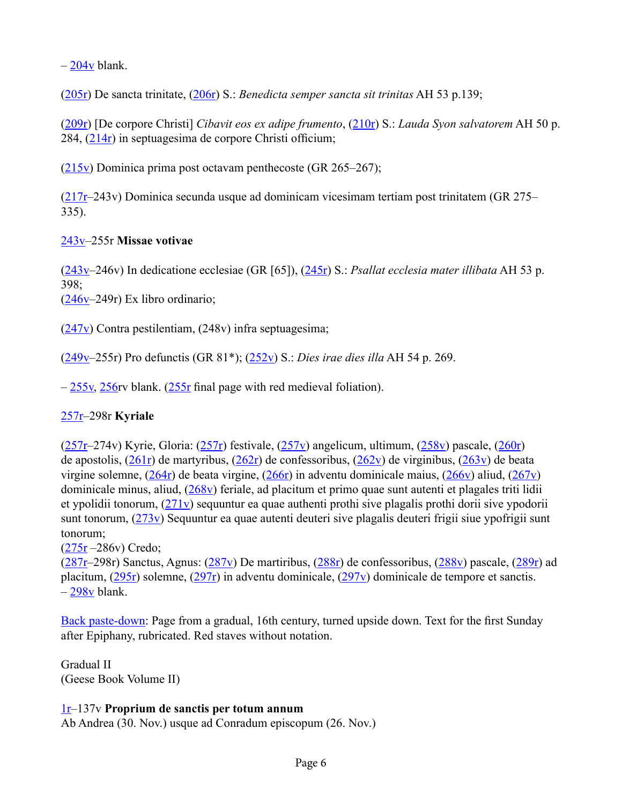$-204v$  $-204v$  blank.

([205r\)](http://geesebook.ab-c.nl/browse.aspx?v=1&p=409&l=english) De sancta trinitate, [\(206r](http://geesebook.ab-c.nl/browse.aspx?v=1&p=411&l=english)) S.: *Benedicta semper sancta sit trinitas* AH 53 p.139;

([209r\)](http://geesebook.ab-c.nl/browse.aspx?v=1&p=417&l=english) [De corpore Christi] *Cibavit eos ex adipe frumento*, [\(210r](http://geesebook.ab-c.nl/browse.aspx?v=1&p=419&l=english)) S.: *Lauda Syon salvatorem* AH 50 p. 284, ([214r](http://geesebook.ab-c.nl/browse.aspx?v=1&p=427&l=english)) in septuagesima de corpore Christi officium;

([215v\)](http://geesebook.ab-c.nl/browse.aspx?v=1&p=430&l=english) Dominica prima post octavam penthecoste (GR 265–267);

([217r–](http://geesebook.ab-c.nl/browse.aspx?v=1&p=433&l=english)243v) Dominica secunda usque ad dominicam vicesimam tertiam post trinitatem (GR 275– 335).

## [243v](http://geesebook.ab-c.nl/browse.aspx?v=1&p=486&l=english)–255r **Missae votivae**

([243v–](http://geesebook.ab-c.nl/browse.aspx?v=1&p=486&l=english)246v) In dedicatione ecclesiae (GR [65]), [\(245r](http://geesebook.ab-c.nl/browse.aspx?v=1&p=489&l=english)) S.: *Psallat ecclesia mater illibata* AH 53 p. 398;

 $(246y-249r)$  Ex libro ordinario;

 $(247v)$  $(247v)$  Contra pestilentiam, (248v) infra septuagesima;

([249v–](http://geesebook.ab-c.nl/browse.aspx?v=1&p=498&l=english)255r) Pro defunctis (GR 81\*); ([252v\)](http://geesebook.ab-c.nl/browse.aspx?v=1&p=504&l=english) S.: *Dies irae dies illa* AH 54 p. 269.

 $-255y$ , [256](http://geesebook.ab-c.nl/browse.aspx?v=1&p=511&l=english)rv blank. ([255r](http://geesebook.ab-c.nl/browse.aspx?v=1&p=509&l=english) final page with red medieval foliation).

#### [257r–](http://geesebook.ab-c.nl/browse.aspx?v=1&p=513&l=english)298r **Kyriale**

 $(257r-274v)$  $(257r-274v)$  Kyrie, Gloria:  $(257r)$  festivale,  $(257v)$  $(257v)$  angelicum, ultimum,  $(258v)$  $(258v)$  pascale,  $(260r)$  $(260r)$ de apostolis,  $(261r)$  $(261r)$  de martyribus,  $(262r)$  $(262r)$  de confessoribus,  $(262v)$  $(262v)$  de virginibus,  $(263v)$  $(263v)$  de beata virgine solemne, ([264r\)](http://geesebook.ab-c.nl/browse.aspx?v=1&p=527&l=english) de beata virgine, [\(266r](http://geesebook.ab-c.nl/browse.aspx?v=1&p=531&l=english)) in adventu dominicale maius, [\(266v](http://geesebook.ab-c.nl/browse.aspx?v=1&p=532&l=english)) aliud, [\(267v](http://geesebook.ab-c.nl/browse.aspx?v=1&p=534&l=english)) dominicale minus, aliud, ([268v\)](http://geesebook.ab-c.nl/browse.aspx?v=1&p=536&l=english) feriale, ad placitum et primo quae sunt autenti et plagales triti lidii et ypolidii tonorum, ([271v\)](http://geesebook.ab-c.nl/browse.aspx?v=1&p=542&l=english) sequuntur ea quae authenti prothi sive plagalis prothi dorii sive ypodorii sunt tonorum, ([273v\)](http://geesebook.ab-c.nl/browse.aspx?v=1&p=546&l=english) Sequuntur ea quae autenti deuteri sive plagalis deuteri frigii siue ypofrigii sunt tonorum;

 $(275r - 286v)$  $(275r - 286v)$  $(275r - 286v)$  Credo;

 $(287r-298r)$  Sanctus, Agnus:  $(287v)$  $(287v)$  De martiribus,  $(288r)$  $(288r)$  de confessoribus,  $(288v)$  $(288v)$  pascale,  $(289r)$  $(289r)$  ad placitum, ([295r\)](http://geesebook.ab-c.nl/browse.aspx?v=1&p=589&l=english) solemne, ([297r\)](http://geesebook.ab-c.nl/browse.aspx?v=1&p=593&l=english) in adventu dominicale, ([297v\)](http://geesebook.ab-c.nl/browse.aspx?v=1&p=594&l=english) dominicale de tempore et sanctis.  $-298v$  blank.

[Back paste-down](http://geesebook.ab-c.nl/browse.aspx?v=1&p=597&l=english): Page from a gradual, 16th century, turned upside down. Text for the first Sunday after Epiphany, rubricated. Red staves without notation.

Gradual II (Geese Book Volume II)

#### [1r–](http://geesebook.ab-c.nl/browse.aspx?v=2&p=1&l=english)137v **Proprium de sanctis per totum annum**

Ab Andrea (30. Nov.) usque ad Conradum episcopum (26. Nov.)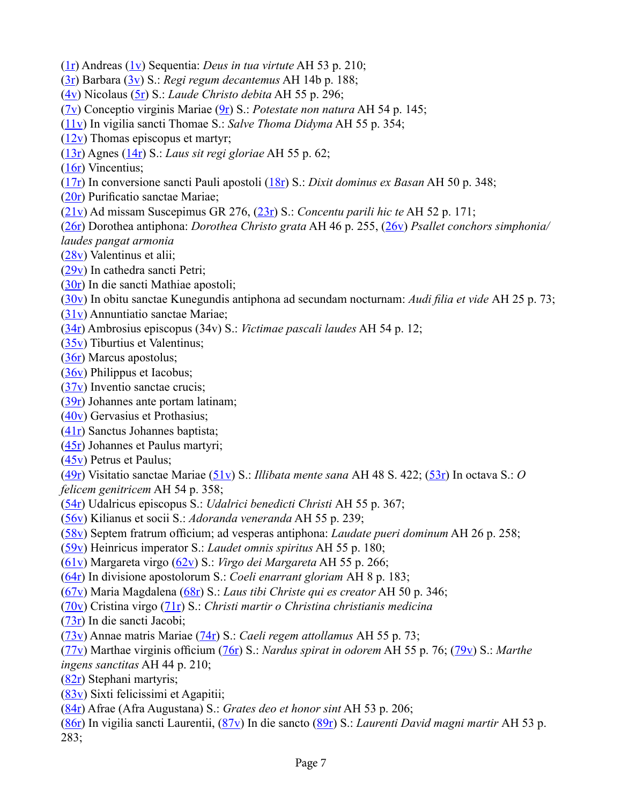- ([1r\)](http://geesebook.ab-c.nl/browse.aspx?v=2&p=1&l=english) Andreas [\(1v](http://geesebook.ab-c.nl/browse.aspx?v=2&p=2&l=english)) Sequentia: *Deus in tua virtute* AH 53 p. 210;
- ([3r\)](http://geesebook.ab-c.nl/browse.aspx?v=2&p=5&l=english) Barbara ([3v\)](http://geesebook.ab-c.nl/browse.aspx?v=2&p=6&l=english) S.: *Regi regum decantemus* AH 14b p. 188;
- ([4v\)](http://geesebook.ab-c.nl/browse.aspx?v=2&p=8&l=english) Nicolaus ([5r\)](http://geesebook.ab-c.nl/browse.aspx?v=2&p=9&l=english) S.: *Laude Christo debita* AH 55 p. 296;
- ([7v\)](http://geesebook.ab-c.nl/browse.aspx?v=2&p=14&l=english) Conceptio virginis Mariae ([9r\)](http://geesebook.ab-c.nl/browse.aspx?v=2&p=17&l=english) S.: *Potestate non natura* AH 54 p. 145;
- ([11v\)](http://geesebook.ab-c.nl/browse.aspx?v=2&p=22&l=english) In vigilia sancti Thomae S.: *Salve Thoma Didyma* AH 55 p. 354;
- $(12v)$  $(12v)$  Thomas episcopus et martyr;
- ([13r\)](http://geesebook.ab-c.nl/browse.aspx?v=2&p=25&l=english) Agnes ([14r\)](http://geesebook.ab-c.nl/browse.aspx?v=2&p=27&l=english) S.: *Laus sit regi gloriae* AH 55 p. 62;
- ([16r\)](http://geesebook.ab-c.nl/browse.aspx?v=2&p=31&l=english) Vincentius;
- ([17r\)](http://geesebook.ab-c.nl/browse.aspx?v=2&p=33&l=english) In conversione sancti Pauli apostoli ([18r\)](http://geesebook.ab-c.nl/browse.aspx?v=2&p=35&l=english) S.: *Dixit dominus ex Basan* AH 50 p. 348;
- ([20r](http://geesebook.ab-c.nl/browse.aspx?v=2&p=39&l=english)) Purificatio sanctae Mariae;
- ([21v\)](http://geesebook.ab-c.nl/browse.aspx?v=2&p=42&l=english) Ad missam Suscepimus GR 276, ([23r\)](http://geesebook.ab-c.nl/browse.aspx?v=2&p=45&l=english) S.: *Concentu parili hic te* AH 52 p. 171;
- ([26r\)](http://geesebook.ab-c.nl/browse.aspx?v=2&p=51&l=english) Dorothea antiphona: *Dorothea Christo grata* AH 46 p. 255, ([26v\)](http://geesebook.ab-c.nl/browse.aspx?v=2&p=52&l=english) *Psallet conchors simphonia/ laudes pangat armonia*
- ([28v\)](http://geesebook.ab-c.nl/browse.aspx?v=2&p=56&l=english) Valentinus et alii;
- ([29v\)](http://geesebook.ab-c.nl/browse.aspx?v=2&p=58&l=english) In cathedra sancti Petri;
- ([30r\)](http://geesebook.ab-c.nl/browse.aspx?v=2&p=59&l=english) In die sancti Mathiae apostoli;
- ([30v\)](http://geesebook.ab-c.nl/browse.aspx?v=2&p=60&l=english) In obitu sanctae Kunegundis antiphona ad secundam nocturnam: *Audi filia et vide* AH 25 p. 73;
- ([31v\)](http://geesebook.ab-c.nl/browse.aspx?v=2&p=62&l=english) Annuntiatio sanctae Mariae;
- ([34r\)](http://geesebook.ab-c.nl/browse.aspx?v=2&p=67&l=english) Ambrosius episcopus (34v) S.: *Victimae pascali laudes* AH 54 p. 12;
- ([35v\)](http://geesebook.ab-c.nl/browse.aspx?v=2&p=70&l=english) Tiburtius et Valentinus;
- ([36r\)](http://geesebook.ab-c.nl/browse.aspx?v=2&p=71&l=english) Marcus apostolus;
- ([36v\)](http://geesebook.ab-c.nl/browse.aspx?v=2&p=72&l=english) Philippus et Iacobus;
- ([37v\)](http://geesebook.ab-c.nl/browse.aspx?v=2&p=74&l=english) Inventio sanctae crucis;
- ([39r\)](http://geesebook.ab-c.nl/browse.aspx?v=2&p=77&l=english) Johannes ante portam latinam;
- ([40v\)](http://geesebook.ab-c.nl/browse.aspx?v=2&p=80&l=english) Gervasius et Prothasius;
- ([41r\)](http://geesebook.ab-c.nl/browse.aspx?v=2&p=81&l=english) Sanctus Johannes baptista;
- ([45r\)](http://geesebook.ab-c.nl/browse.aspx?v=2&p=89&l=english) Johannes et Paulus martyri;
- ([45v\)](http://geesebook.ab-c.nl/browse.aspx?v=2&p=90&l=english) Petrus et Paulus;

([49r\)](http://geesebook.ab-c.nl/browse.aspx?v=2&p=97&l=english) Visitatio sanctae Mariae ([51v\)](http://geesebook.ab-c.nl/browse.aspx?v=2&p=102&l=english) S.: *Illibata mente sana* AH 48 S. 422; ([53r\)](http://geesebook.ab-c.nl/browse.aspx?v=2&p=105&l=english) In octava S.: *O felicem genitricem* AH 54 p. 358;

- ([54r\)](http://geesebook.ab-c.nl/browse.aspx?v=2&p=107&l=english) Udalricus episcopus S.: *Udalrici benedicti Christi* AH 55 p. 367;
- ([56v\)](http://geesebook.ab-c.nl/browse.aspx?v=2&p=112&l=english) Kilianus et socii S.: *Adoranda veneranda* AH 55 p. 239;
- ([58v](http://geesebook.ab-c.nl/browse.aspx?v=2&p=116&l=english)) Septem fratrum officium; ad vesperas antiphona: *Laudate pueri dominum* AH 26 p. 258;
- ([59v\)](http://geesebook.ab-c.nl/browse.aspx?v=2&p=118&l=english) Heinricus imperator S.: *Laudet omnis spiritus* AH 55 p. 180;
- ([61v\)](http://geesebook.ab-c.nl/browse.aspx?v=2&p=122&l=english) Margareta virgo [\(62v](http://geesebook.ab-c.nl/browse.aspx?v=2&p=124&l=english)) S.: *Virgo dei Margareta* AH 55 p. 266;
- ([64r\)](http://geesebook.ab-c.nl/browse.aspx?v=2&p=127&l=english) In divisione apostolorum S.: *Coeli enarrant gloriam* AH 8 p. 183;
- ([67v\)](http://geesebook.ab-c.nl/browse.aspx?v=2&p=134&l=english) Maria Magdalena ([68r\)](http://geesebook.ab-c.nl/browse.aspx?v=2&p=135&l=english) S.: *Laus tibi Christe qui es creator* AH 50 p. 346;
- ([70v\)](http://geesebook.ab-c.nl/browse.aspx?v=2&p=140&l=english) Cristina virgo [\(71r](http://geesebook.ab-c.nl/browse.aspx?v=2&p=141&l=english)) S.: *Christi martir o Christina christianis medicina*
- ([73r\)](http://geesebook.ab-c.nl/browse.aspx?v=2&p=145&l=english) In die sancti Jacobi;
- ([73v\)](http://geesebook.ab-c.nl/browse.aspx?v=2&p=146&l=english) Annae matris Mariae ([74r\)](http://geesebook.ab-c.nl/browse.aspx?v=2&p=147&l=english) S.: *Caeli regem attollamus* AH 55 p. 73;
- ([77v](http://geesebook.ab-c.nl/browse.aspx?v=2&p=154&l=english)) Marthae virginis officium ([76r](http://geesebook.ab-c.nl/browse.aspx?v=2&p=151&l=english)) S.: *Nardus spirat in odorem* AH 55 p. 76; ([79v\)](http://geesebook.ab-c.nl/browse.aspx?v=2&p=158&l=english) S.: *Marthe ingens sanctitas* AH 44 p. 210;
- ([82r\)](http://geesebook.ab-c.nl/browse.aspx?v=2&p=163&l=english) Stephani martyris;
- ([83v\)](http://geesebook.ab-c.nl/browse.aspx?v=2&p=166&l=english) Sixti felicissimi et Agapitii;
- ([84r\)](http://geesebook.ab-c.nl/browse.aspx?v=2&p=167&l=english) Afrae (Afra Augustana) S.: *Grates deo et honor sint* AH 53 p. 206;
- ([86r\)](http://geesebook.ab-c.nl/browse.aspx?v=2&p=171&l=english) In vigilia sancti Laurentii, ([87v\)](http://geesebook.ab-c.nl/browse.aspx?v=2&p=174&l=english) In die sancto ([89r\)](http://geesebook.ab-c.nl/browse.aspx?v=2&p=177&l=english) S.: *Laurenti David magni martir* AH 53 p. 283;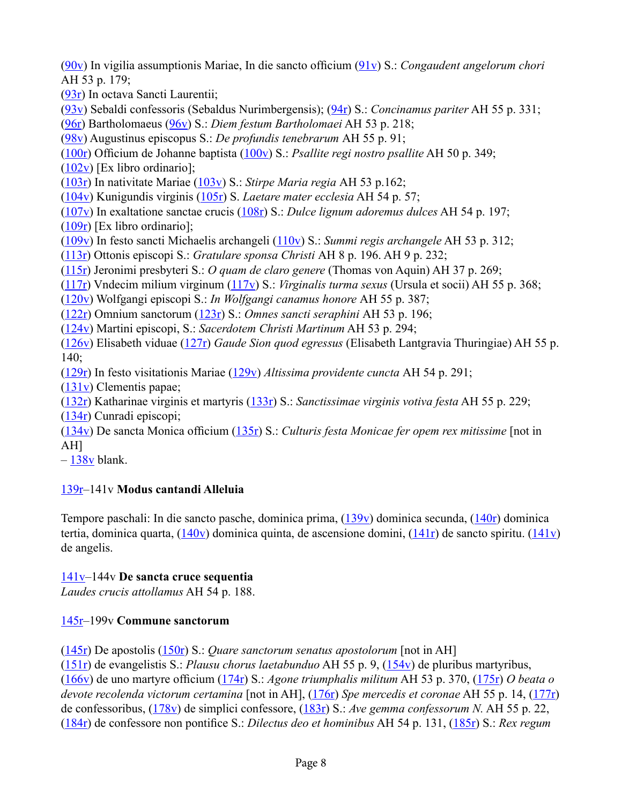([90v](http://geesebook.ab-c.nl/browse.aspx?v=2&p=180&l=english)) In vigilia assumptionis Mariae, In die sancto officium ([91v](http://geesebook.ab-c.nl/browse.aspx?v=2&p=182&l=english)) S.: *Congaudent angelorum chori*  AH 53 p. 179;

([93r\)](http://geesebook.ab-c.nl/browse.aspx?v=2&p=185&l=english) In octava Sancti Laurentii;

([93v\)](http://geesebook.ab-c.nl/browse.aspx?v=2&p=186&l=english) Sebaldi confessoris (Sebaldus Nurimbergensis); [\(94r](http://geesebook.ab-c.nl/browse.aspx?v=2&p=187&l=english)) S.: *Concinamus pariter* AH 55 p. 331;

([96r\)](http://geesebook.ab-c.nl/browse.aspx?v=2&p=191&l=english) Bartholomaeus ([96v\)](http://geesebook.ab-c.nl/browse.aspx?v=2&p=192&l=english) S.: *Diem festum Bartholomaei* AH 53 p. 218;

([98v\)](http://geesebook.ab-c.nl/browse.aspx?v=2&p=196&l=english) Augustinus episcopus S.: *De profundis tenebrarum* AH 55 p. 91;

([100r](http://geesebook.ab-c.nl/browse.aspx?v=2&p=199&l=english)) Officium de Johanne baptista ([100v](http://geesebook.ab-c.nl/browse.aspx?v=2&p=200&l=english)) S.: *Psallite regi nostro psallite* AH 50 p. 349;

 $(102v)$  $(102v)$  [Ex libro ordinario];

([103r\)](http://geesebook.ab-c.nl/browse.aspx?v=2&p=205&l=english) In nativitate Mariae ([103v\)](http://geesebook.ab-c.nl/browse.aspx?v=2&p=206&l=english) S.: *Stirpe Maria regia* AH 53 p.162;

([104v\)](http://geesebook.ab-c.nl/browse.aspx?v=2&p=208&l=english) Kunigundis virginis [\(105r](http://geesebook.ab-c.nl/browse.aspx?v=2&p=209&l=english)) S. *Laetare mater ecclesia* AH 54 p. 57;

([107v\)](http://geesebook.ab-c.nl/browse.aspx?v=2&p=214&l=english) In exaltatione sanctae crucis ([108r\)](http://geesebook.ab-c.nl/browse.aspx?v=2&p=215&l=english) S.: *Dulce lignum adoremus dulces* AH 54 p. 197;

 $(109r)$  $(109r)$  [Ex libro ordinario];

([109v\)](http://geesebook.ab-c.nl/browse.aspx?v=2&p=218&l=english) In festo sancti Michaelis archangeli ([110v](http://geesebook.ab-c.nl/browse.aspx?v=2&p=220&l=english)) S.: *Summi regis archangele* AH 53 p. 312;

([113r\)](http://geesebook.ab-c.nl/browse.aspx?v=2&p=225&l=english) Ottonis episcopi S.: *Gratulare sponsa Christi* AH 8 p. 196. AH 9 p. 232;

([115r\)](http://geesebook.ab-c.nl/browse.aspx?v=2&p=229&l=english) Jeronimi presbyteri S.: *O quam de claro genere* (Thomas von Aquin) AH 37 p. 269;

([117r\)](http://geesebook.ab-c.nl/browse.aspx?v=2&p=233&l=english) Vndecim milium virginum ([117v](http://geesebook.ab-c.nl/browse.aspx?v=2&p=234&l=english)) S.: *Virginalis turma sexus* (Ursula et socii) AH 55 p. 368;

([120v\)](http://geesebook.ab-c.nl/browse.aspx?v=2&p=240&l=english) Wolfgangi episcopi S.: *In Wolfgangi canamus honore* AH 55 p. 387;

([122r\)](http://geesebook.ab-c.nl/browse.aspx?v=2&p=243&l=english) Omnium sanctorum ([123r\)](http://geesebook.ab-c.nl/browse.aspx?v=2&p=245&l=english) S.: *Omnes sancti seraphini* AH 53 p. 196;

([124v\)](http://geesebook.ab-c.nl/browse.aspx?v=2&p=248&l=english) Martini episcopi, S.: *Sacerdotem Christi Martinum* AH 53 p. 294;

([126v\)](http://geesebook.ab-c.nl/browse.aspx?v=2&p=252&l=english) Elisabeth viduae ([127r\)](http://geesebook.ab-c.nl/browse.aspx?v=2&p=253&l=english) *Gaude Sion quod egressus* (Elisabeth Lantgravia Thuringiae) AH 55 p. 140;

([129r\)](http://geesebook.ab-c.nl/browse.aspx?v=2&p=258&l=english) In festo visitationis Mariae ([129v\)](http://geesebook.ab-c.nl/browse.aspx?v=2&p=259&l=english) *Altissima providente cuncta* AH 54 p. 291;

([131v\)](http://geesebook.ab-c.nl/browse.aspx?v=2&p=262&l=english) Clementis papae;

([132r\)](http://geesebook.ab-c.nl/browse.aspx?v=2&p=263&l=english) Katharinae virginis et martyris ([133r\)](http://geesebook.ab-c.nl/browse.aspx?v=2&p=265&l=english) S.: *Sanctissimae virginis votiva festa* AH 55 p. 229;

([134r\)](http://geesebook.ab-c.nl/browse.aspx?v=2&p=267&l=english) Cunradi episcopi;

([134v](http://geesebook.ab-c.nl/browse.aspx?v=2&p=268&l=english)) De sancta Monica officium ([135r](http://geesebook.ab-c.nl/browse.aspx?v=2&p=269&l=english)) S.: *Culturis festa Monicae fer opem rex mitissime* [not in AH]

 $-138v$  blank.

# [139r–](http://geesebook.ab-c.nl/browse.aspx?v=2&p=277&l=english)141v **Modus cantandi Alleluia**

Tempore paschali: In die sancto pasche, dominica prima, ([139v\)](http://geesebook.ab-c.nl/browse.aspx?v=2&p=278&l=english) dominica secunda, [\(140r](http://geesebook.ab-c.nl/browse.aspx?v=2&p=279&l=english)) dominica tertia, dominica quarta,  $(140v)$  $(140v)$  dominica quinta, de ascensione domini,  $(141r)$  $(141r)$  de sancto spiritu.  $(141v)$  $(141v)$ de angelis.

# [141v](http://geesebook.ab-c.nl/browse.aspx?v=2&p=282&l=english)–144v **De sancta cruce sequentia**

*Laudes crucis attollamus* AH 54 p. 188.

# [145r–](http://geesebook.ab-c.nl/browse.aspx?v=2&p=289&l=english)199v **Commune sanctorum**

([145r\)](http://geesebook.ab-c.nl/browse.aspx?v=2&p=289&l=english) De apostolis ([150r\)](http://geesebook.ab-c.nl/browse.aspx?v=2&p=299&l=english) S.: *Quare sanctorum senatus apostolorum* [not in AH]

([151r\)](http://geesebook.ab-c.nl/browse.aspx?v=2&p=301&l=english) de evangelistis S.: *Plausu chorus laetabunduo* AH 55 p. 9, ([154v\)](http://geesebook.ab-c.nl/browse.aspx?v=2&p=308&l=english) de pluribus martyribus, ([166v](http://geesebook.ab-c.nl/browse.aspx?v=2&p=332&l=english)) de uno martyre officium ([174r](http://geesebook.ab-c.nl/browse.aspx?v=2&p=347&l=english)) S.: *Agone triumphalis militum* AH 53 p. 370, ([175r\)](http://geesebook.ab-c.nl/browse.aspx?v=2&p=349&l=english) *O beata o devote recolenda victorum certamina* [not in AH], [\(176r](http://geesebook.ab-c.nl/browse.aspx?v=2&p=351&l=english)) *Spe mercedis et coronae* AH 55 p. 14, ([177r\)](http://geesebook.ab-c.nl/browse.aspx?v=2&p=353&l=english) de confessoribus, [\(178v](http://geesebook.ab-c.nl/browse.aspx?v=2&p=356&l=english)) de simplici confessore, ([183r\)](http://geesebook.ab-c.nl/browse.aspx?v=2&p=365&l=english) S.: *Ave gemma confessorum N.* AH 55 p. 22, ([184r](http://geesebook.ab-c.nl/browse.aspx?v=2&p=367&l=english)) de confessore non pontifice S.: *Dilectus deo et hominibus* AH 54 p. 131, [\(185r](http://geesebook.ab-c.nl/browse.aspx?v=2&p=369&l=english)) S.: *Rex regum*